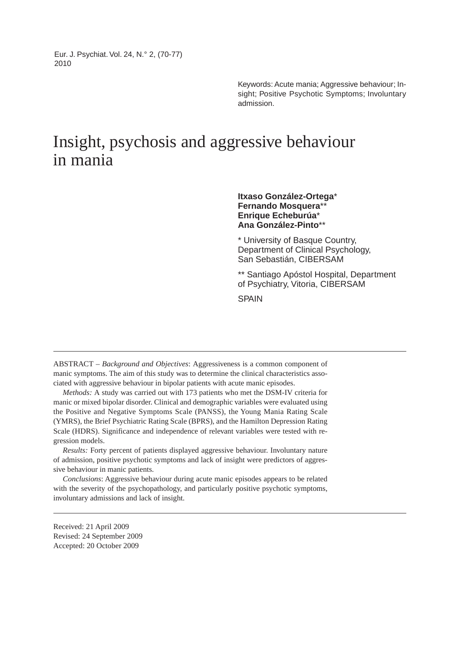Eur. J. Psychiat. Vol. 24, N.° 2, (70-77) 2010

> Keywords: Acute mania; Aggressive behaviour; Insight; Positive Psychotic Symptoms; Involuntary admission.

# Insight, psychosis and aggressive behaviour in mania

**Itxaso González-Ortega**\* **Fernando Mosquera**\*\* **Enrique Echeburúa**\* **Ana González-Pinto**\*\*

\* University of Basque Country, Department of Clinical Psychology, San Sebastián, CIBERSAM

\*\* Santiago Apóstol Hospital, Department of Psychiatry, Vitoria, CIBERSAM

SPAIN

ABSTRACT – *Background and Objectives*: Aggressiveness is a common component of manic symptoms. The aim of this study was to determine the clinical characteristics associated with aggressive behaviour in bipolar patients with acute manic episodes.

*Methods:* A study was carried out with 173 patients who met the DSM-IV criteria for manic or mixed bipolar disorder. Clinical and demographic variables were evaluated using the Positive and Negative Symptoms Scale (PANSS), the Young Mania Rating Scale (YMRS), the Brief Psychiatric Rating Scale (BPRS), and the Hamilton Depression Rating Scale (HDRS). Significance and independence of relevant variables were tested with regression models.

*Results:* Forty percent of patients displayed aggressive behaviour. Involuntary nature of admission, positive psychotic symptoms and lack of insight were predictors of aggressive behaviour in manic patients.

*Conclusions*: Aggressive behaviour during acute manic episodes appears to be related with the severity of the psychopathology, and particularly positive psychotic symptoms, involuntary admissions and lack of insight.

Received: 21 April 2009 Revised: 24 September 2009 Accepted: 20 October 2009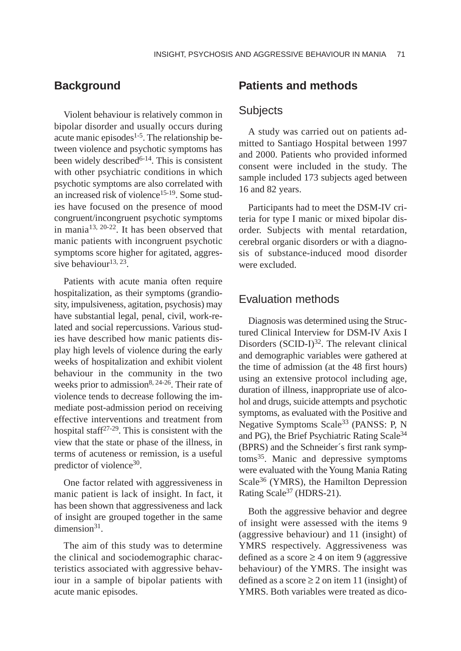## **Background**

Violent behaviour is relatively common in bipolar disorder and usually occurs during acute manic episodes $1-5$ . The relationship between violence and psychotic symptoms has been widely described<sup>6-14</sup>. This is consistent with other psychiatric conditions in which psychotic symptoms are also correlated with an increased risk of violence15-19. Some studies have focused on the presence of mood congruent/incongruent psychotic symptoms in mania13, 20-22. It has been observed that manic patients with incongruent psychotic symptoms score higher for agitated, aggressive behaviour $13, 23$ .

Patients with acute mania often require hospitalization, as their symptoms (grandiosity, impulsiveness, agitation, psychosis) may have substantial legal, penal, civil, work-related and social repercussions. Various studies have described how manic patients display high levels of violence during the early weeks of hospitalization and exhibit violent behaviour in the community in the two weeks prior to admission<sup>8, 24-26</sup>. Their rate of violence tends to decrease following the immediate post-admission period on receiving effective interventions and treatment from hospital staff<sup>27-29</sup>. This is consistent with the view that the state or phase of the illness, in terms of acuteness or remission, is a useful predictor of violence<sup>30</sup>.

One factor related with aggressiveness in manic patient is lack of insight. In fact, it has been shown that aggressiveness and lack of insight are grouped together in the same dimension $31$ .

The aim of this study was to determine the clinical and sociodemographic characteristics associated with aggressive behaviour in a sample of bipolar patients with acute manic episodes.

# **Patients and methods**

# **Subjects**

A study was carried out on patients admitted to Santiago Hospital between 1997 and 2000. Patients who provided informed consent were included in the study. The sample included 173 subjects aged between 16 and 82 years.

Participants had to meet the DSM-IV criteria for type I manic or mixed bipolar disorder. Subjects with mental retardation, cerebral organic disorders or with a diagnosis of substance-induced mood disorder were excluded.

## Evaluation methods

Diagnosis was determined using the Structured Clinical Interview for DSM-IV Axis I Disorders  $(SCID-I)^{32}$ . The relevant clinical and demographic variables were gathered at the time of admission (at the 48 first hours) using an extensive protocol including age, duration of illness, inappropriate use of alcohol and drugs, suicide attempts and psychotic symptoms, as evaluated with the Positive and Negative Symptoms Scale<sup>33</sup> (PANSS: P, N and PG), the Brief Psychiatric Rating Scale34 (BPRS) and the Schneider´s first rank symptoms35. Manic and depressive symptoms were evaluated with the Young Mania Rating Scale<sup>36</sup> (YMRS), the Hamilton Depression Rating Scale<sup>37</sup> (HDRS-21).

Both the aggressive behavior and degree of insight were assessed with the items 9 (aggressive behaviour) and 11 (insight) of YMRS respectively. Aggressiveness was defined as a score  $\geq$  4 on item 9 (aggressive behaviour) of the YMRS. The insight was defined as a score  $\geq 2$  on item 11 (insight) of YMRS. Both variables were treated as dico-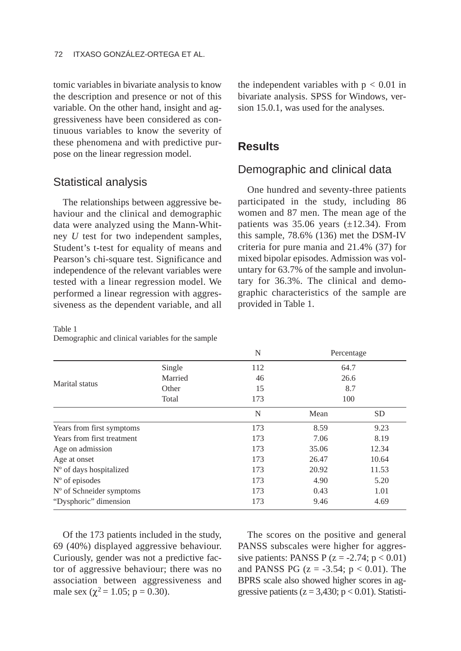tomic variables in bivariate analysis to know the description and presence or not of this variable. On the other hand, insight and aggressiveness have been considered as continuous variables to know the severity of these phenomena and with predictive purpose on the linear regression model.

### Statistical analysis

The relationships between aggressive behaviour and the clinical and demographic data were analyzed using the Mann-Whitney *U* test for two independent samples, Student's t-test for equality of means and Pearson's chi-square test. Significance and independence of the relevant variables were tested with a linear regression model. We performed a linear regression with aggressiveness as the dependent variable, and all

Table 1

Demographic and clinical variables for the sample

the independent variables with  $p < 0.01$  in bivariate analysis. SPSS for Windows, version 15.0.1, was used for the analyses.

# **Results**

## Demographic and clinical data

One hundred and seventy-three patients participated in the study, including 86 women and 87 men. The mean age of the patients was  $35.06$  years ( $\pm$ 12.34). From this sample, 78.6% (136) met the DSM-IV criteria for pure mania and 21.4% (37) for mixed bipolar episodes. Admission was voluntary for 63.7% of the sample and involuntary for 36.3%. The clinical and demographic characteristics of the sample are provided in Table 1.

|                            |         | N                       |       | Percentage |
|----------------------------|---------|-------------------------|-------|------------|
| Marital status             | Single  | 112                     | 64.7  |            |
|                            | Married | 46                      | 26.6  |            |
|                            | Other   | 15                      | 8.7   |            |
|                            | Total   | 173<br>100<br>N<br>Mean |       |            |
|                            |         |                         |       | <b>SD</b>  |
| Years from first symptoms  |         | 173                     | 8.59  | 9.23       |
| Years from first treatment |         | 173                     | 7.06  | 8.19       |
| Age on admission           |         | 173                     | 35.06 | 12.34      |
| Age at onset               |         | 173                     | 26.47 | 10.64      |
| N° of days hospitalized    |         | 173                     | 20.92 | 11.53      |
| $No$ of episodes           |         | 173                     | 4.90  | 5.20       |
| $No$ of Schneider symptoms |         | 173                     | 0.43  | 1.01       |
| "Dysphoric" dimension      |         | 173                     | 9.46  | 4.69       |

Of the 173 patients included in the study, 69 (40%) displayed aggressive behaviour. Curiously, gender was not a predictive factor of aggressive behaviour; there was no association between aggressiveness and male sex ( $\chi^2$  = 1.05; p = 0.30).

The scores on the positive and general PANSS subscales were higher for aggressive patients: PANSS P  $(z = -2.74; p < 0.01)$ and PANSS PG ( $z = -3.54$ ;  $p < 0.01$ ). The BPRS scale also showed higher scores in aggressive patients ( $z = 3,430$ ;  $p < 0.01$ ). Statisti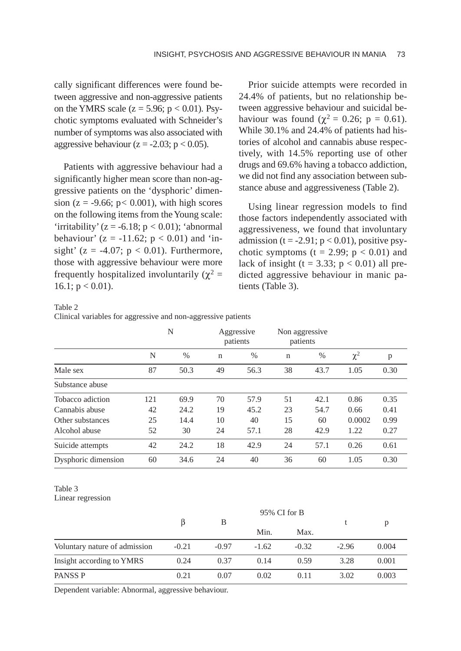cally significant differences were found between aggressive and non-aggressive patients on the YMRS scale ( $z = 5.96$ ;  $p < 0.01$ ). Psychotic symptoms evaluated with Schneider's number of symptoms was also associated with aggressive behaviour ( $z = -2.03$ ;  $p < 0.05$ ).

Patients with aggressive behaviour had a significantly higher mean score than non-aggressive patients on the 'dysphoric' dimension ( $z = -9.66$ ;  $p < 0.001$ ), with high scores on the following items from the Young scale: 'irritability'  $(z = -6.18; p < 0.01)$ ; 'abnormal' behaviour' ( $z = -11.62$ ;  $p < 0.01$ ) and 'insight' ( $z = -4.07$ ;  $p < 0.01$ ). Furthermore, those with aggressive behaviour were more frequently hospitalized involuntarily ( $χ² =$  $16.1$ ;  $p < 0.01$ ).

Prior suicide attempts were recorded in 24.4% of patients, but no relationship between aggressive behaviour and suicidal behaviour was found ( $χ² = 0.26$ ; p = 0.61). While 30.1% and 24.4% of patients had histories of alcohol and cannabis abuse respectively, with 14.5% reporting use of other drugs and 69.6% having a tobacco addiction, we did not find any association between substance abuse and aggressiveness (Table 2).

Using linear regression models to find those factors independently associated with aggressiveness, we found that involuntary admission (t =  $-2.91$ ; p < 0.01), positive psychotic symptoms ( $t = 2.99$ ;  $p < 0.01$ ) and lack of insight (t = 3.33;  $p < 0.01$ ) all predicted aggressive behaviour in manic patients (Table 3).

#### Table 2

Clinical variables for aggressive and non-aggressive patients

|                     | N   |      |             | Aggressive<br>patients |    | Non aggressive<br>patients |          |      |
|---------------------|-----|------|-------------|------------------------|----|----------------------------|----------|------|
|                     | N   | $\%$ | $\mathbf n$ | %                      | n  | %                          | $\chi^2$ | p    |
| Male sex            | 87  | 50.3 | 49          | 56.3                   | 38 | 43.7                       | 1.05     | 0.30 |
| Substance abuse     |     |      |             |                        |    |                            |          |      |
| Tobacco adiction    | 121 | 69.9 | 70          | 57.9                   | 51 | 42.1                       | 0.86     | 0.35 |
| Cannabis abuse      | 42  | 24.2 | 19          | 45.2                   | 23 | 54.7                       | 0.66     | 0.41 |
| Other substances    | 25  | 14.4 | 10          | 40                     | 15 | 60                         | 0.0002   | 0.99 |
| Alcohol abuse       | 52  | 30   | 24          | 57.1                   | 28 | 42.9                       | 1.22     | 0.27 |
| Suicide attempts    | 42  | 24.2 | 18          | 42.9                   | 24 | 57.1                       | 0.26     | 0.61 |
| Dysphoric dimension | 60  | 34.6 | 24          | 40                     | 36 | 60                         | 1.05     | 0.30 |

#### Table 3 Linear regression

|                               | 95% CI for B |         |         |         |         |       |
|-------------------------------|--------------|---------|---------|---------|---------|-------|
|                               |              | В       |         |         |         | p     |
|                               |              |         | Min.    | Max.    |         |       |
| Voluntary nature of admission | $-0.21$      | $-0.97$ | $-1.62$ | $-0.32$ | $-2.96$ | 0.004 |
| Insight according to YMRS     | 0.24         | 0.37    | 0.14    | 0.59    | 3.28    | 0.001 |
| PANSS <sub>P</sub>            | 0.21         | 0.07    | 0.02    | 0.11    | 3.02    | 0.003 |

Dependent variable: Abnormal, aggressive behaviour.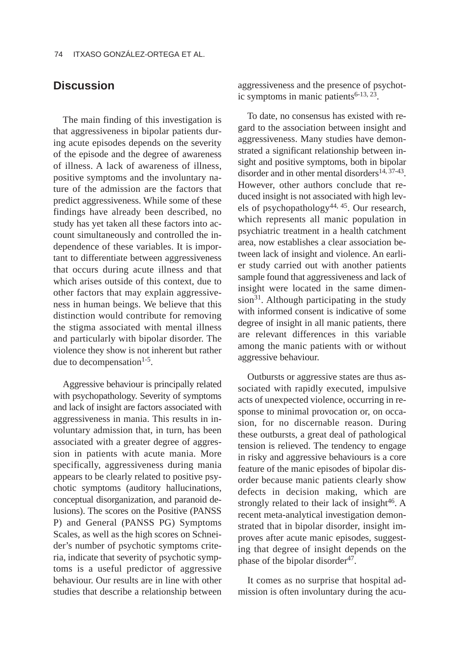# **Discussion**

The main finding of this investigation is that aggressiveness in bipolar patients during acute episodes depends on the severity of the episode and the degree of awareness of illness. A lack of awareness of illness, positive symptoms and the involuntary nature of the admission are the factors that predict aggressiveness. While some of these findings have already been described, no study has yet taken all these factors into account simultaneously and controlled the independence of these variables. It is important to differentiate between aggressiveness that occurs during acute illness and that which arises outside of this context, due to other factors that may explain aggressiveness in human beings. We believe that this distinction would contribute for removing the stigma associated with mental illness and particularly with bipolar disorder. The violence they show is not inherent but rather due to decompensation<sup>1-5</sup>.

Aggressive behaviour is principally related with psychopathology. Severity of symptoms and lack of insight are factors associated with aggressiveness in mania. This results in involuntary admission that, in turn, has been associated with a greater degree of aggression in patients with acute mania. More specifically, aggressiveness during mania appears to be clearly related to positive psychotic symptoms (auditory hallucinations, conceptual disorganization, and paranoid delusions). The scores on the Positive (PANSS P) and General (PANSS PG) Symptoms Scales, as well as the high scores on Schneider's number of psychotic symptoms criteria, indicate that severity of psychotic symptoms is a useful predictor of aggressive behaviour. Our results are in line with other studies that describe a relationship between aggressiveness and the presence of psychotic symptoms in manic patients $6-13$ ,  $23$ .

To date, no consensus has existed with regard to the association between insight and aggressiveness. Many studies have demonstrated a significant relationship between insight and positive symptoms, both in bipolar disorder and in other mental disorders<sup>14, 37-43</sup>. However, other authors conclude that reduced insight is not associated with high levels of psychopathology44, 45. Our research, which represents all manic population in psychiatric treatment in a health catchment area, now establishes a clear association between lack of insight and violence. An earlier study carried out with another patients sample found that aggressiveness and lack of insight were located in the same dimension<sup>31</sup>. Although participating in the study with informed consent is indicative of some degree of insight in all manic patients, there are relevant differences in this variable among the manic patients with or without aggressive behaviour.

Outbursts or aggressive states are thus associated with rapidly executed, impulsive acts of unexpected violence, occurring in response to minimal provocation or, on occasion, for no discernable reason. During these outbursts, a great deal of pathological tension is relieved. The tendency to engage in risky and aggressive behaviours is a core feature of the manic episodes of bipolar disorder because manic patients clearly show defects in decision making, which are strongly related to their lack of insight $46$ . A recent meta-analytical investigation demonstrated that in bipolar disorder, insight improves after acute manic episodes, suggesting that degree of insight depends on the phase of the bipolar disorder $47$ .

It comes as no surprise that hospital admission is often involuntary during the acu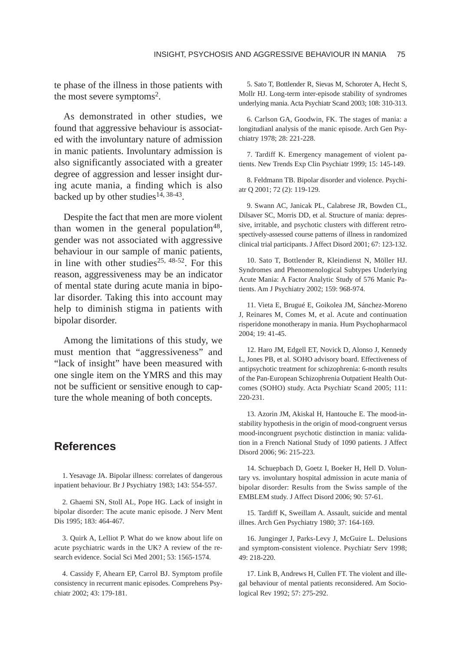te phase of the illness in those patients with the most severe symptoms<sup>2</sup>.

As demonstrated in other studies, we found that aggressive behaviour is associated with the involuntary nature of admission in manic patients. Involuntary admission is also significantly associated with a greater degree of aggression and lesser insight during acute mania, a finding which is also backed up by other studies<sup>14, 38-43</sup>.

Despite the fact that men are more violent than women in the general population $48$ , gender was not associated with aggressive behaviour in our sample of manic patients, in line with other studies<sup>25, 48-52</sup>. For this reason, aggressiveness may be an indicator of mental state during acute mania in bipolar disorder. Taking this into account may help to diminish stigma in patients with bipolar disorder.

Among the limitations of this study, we must mention that "aggressiveness" and "lack of insight" have been measured with one single item on the YMRS and this may not be sufficient or sensitive enough to capture the whole meaning of both concepts.

# **References**

1. Yesavage JA. Bipolar illness: correlates of dangerous inpatient behaviour. Br J Psychiatry 1983; 143: 554-557.

2. Ghaemi SN, Stoll AL, Pope HG. Lack of insight in bipolar disorder: The acute manic episode. J Nerv Ment Dis 1995; 183: 464-467.

3. Quirk A, Lelliot P. What do we know about life on acute psychiatric wards in the UK? A review of the research evidence. Social Sci Med 2001; 53: 1565-1574.

4. Cassidy F, Ahearn EP, Carrol BJ. Symptom profile consistency in recurrent manic episodes. Comprehens Psychiatr 2002; 43: 179-181.

5. Sato T, Bottlender R, Sievas M, Schoroter A, Hecht S, Mollr HJ. Long-term inter-episode stability of syndromes underlying mania. Acta Psychiatr Scand 2003; 108: 310-313.

6. Carlson GA, Goodwin, FK. The stages of mania: a longitudianl analysis of the manic episode. Arch Gen Psychiatry 1978; 28: 221-228.

7. Tardiff K. Emergency management of violent patients. New Trends Exp Clin Psychiatr 1999; 15: 145-149.

8. Feldmann TB. Bipolar disorder and violence. Psychiatr Q 2001; 72 (2): 119-129.

9. Swann AC, Janicak PL, Calabrese JR, Bowden CL, Dilsaver SC, Morris DD, et al. Structure of mania: depressive, irritable, and psychotic clusters with different retrospectively-assessed course patterns of illness in randomized clinical trial participants. J Affect Disord 2001; 67: 123-132.

10. Sato T, Bottlender R, Kleindienst N, Möller HJ. Syndromes and Phenomenological Subtypes Underlying Acute Mania: A Factor Analytic Study of 576 Manic Patients. Am J Psychiatry 2002; 159: 968-974.

11. Vieta E, Brugué E, Goikolea JM, Sánchez-Moreno J, Reinares M, Comes M, et al. Acute and continuation risperidone monotherapy in mania. Hum Psychopharmacol 2004; 19: 41-45.

12. Haro JM, Edgell ET, Novick D, Alonso J, Kennedy L, Jones PB, et al. SOHO advisory board. Effectiveness of antipsychotic treatment for schizophrenia: 6-month results of the Pan-European Schizophrenia Outpatient Health Outcomes (SOHO) study. Acta Psychiatr Scand 2005; 111: 220-231.

13. Azorin JM, Akiskal H, Hantouche E. The mood-instability hypothesis in the origin of mood-congruent versus mood-incongruent psychotic distinction in mania: validation in a French National Study of 1090 patients. J Affect Disord 2006; 96: 215-223.

14. Schuepbach D, Goetz I, Boeker H, Hell D. Voluntary vs. involuntary hospital admission in acute mania of bipolar disorder: Results from the Swiss sample of the EMBLEM study. J Affect Disord 2006; 90: 57-61.

15. Tardiff K, Sweillam A. Assault, suicide and mental illnes. Arch Gen Psychiatry 1980; 37: 164-169.

16. Junginger J, Parks-Levy J, McGuire L. Delusions and symptom-consistent violence. Psychiatr Serv 1998; 49: 218-220.

17. Link B, Andrews H, Cullen FT. The violent and illegal behaviour of mental patients reconsidered. Am Sociological Rev 1992; 57: 275-292.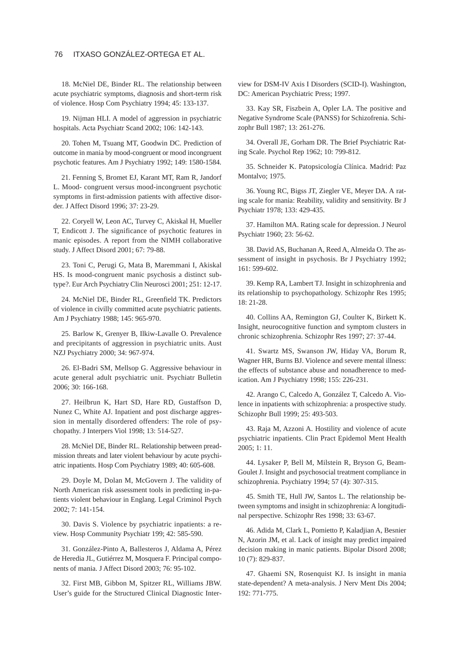#### 76 ITXASO GONZÁLEZ-ORTEGA ET AL.

18. McNiel DE, Binder RL. The relationship between acute psychiatric symptoms, diagnosis and short-term risk of violence. Hosp Com Psychiatry 1994; 45: 133-137.

19. Nijman HLI. A model of aggression in psychiatric hospitals. Acta Psychiatr Scand 2002; 106: 142-143.

20. Tohen M, Tsuang MT, Goodwin DC. Prediction of outcome in mania by mood-congruent or mood incongruent psychotic features. Am J Psychiatry 1992; 149: 1580-1584.

21. Fenning S, Bromet EJ, Karant MT, Ram R, Jandorf L. Mood- congruent versus mood-incongruent psychotic symptoms in first-admission patients with affective disorder. J Affect Disord 1996; 37: 23-29.

22. Coryell W, Leon AC, Turvey C, Akiskal H, Mueller T, Endicott J. The significance of psychotic features in manic episodes. A report from the NIMH collaborative study. J Affect Disord 2001; 67: 79-88.

23. Toni C, Perugi G, Mata B, Maremmani I, Akiskal HS. Is mood-congruent manic psychosis a distinct subtype?. Eur Arch Psychiatry Clin Neurosci 2001; 251: 12-17.

24. McNiel DE, Binder RL, Greenfield TK. Predictors of violence in civilly committed acute psychiatric patients. Am J Psychiatry 1988; 145: 965-970.

25. Barlow K, Grenyer B, Ilkiw-Lavalle O. Prevalence and precipitants of aggression in psychiatric units. Aust NZJ Psychiatry 2000; 34: 967-974.

26. El-Badri SM, Mellsop G. Aggressive behaviour in acute general adult psychiatric unit. Psychiatr Bulletin 2006; 30: 166-168.

27. Heilbrun K, Hart SD, Hare RD, Gustaffson D, Nunez C, White AJ. Inpatient and post discharge aggression in mentally disordered offenders: The role of psychopathy. J Interpers Viol 1998; 13: 514-527.

28. McNiel DE, Binder RL. Relationship between preadmission threats and later violent behaviour by acute psychiatric inpatients. Hosp Com Psychiatry 1989; 40: 605-608.

29. Doyle M, Dolan M, McGovern J. The validity of North American risk assessment tools in predicting in-patients violent behaviour in Englang. Legal Criminol Psych 2002; 7: 141-154.

30. Davis S. Violence by psychiatric inpatients: a review. Hosp Community Psychiatr 199; 42: 585-590.

31. González-Pinto A, Ballesteros J, Aldama A, Pérez de Heredia JL, Gutiérrez M, Mosquera F. Principal components of mania. J Affect Disord 2003; 76: 95-102.

32. First MB, Gibbon M, Spitzer RL, Williams JBW. User's guide for the Structured Clinical Diagnostic Interview for DSM-IV Axis I Disorders (SCID-I). Washington, DC: American Psychiatric Press; 1997.

33. Kay SR, Fiszbein A, Opler LA. The positive and Negative Syndrome Scale (PANSS) for Schizofrenia. Schizophr Bull 1987; 13: 261-276.

34. Overall JE, Gorham DR. The Brief Psychiatric Rating Scale. Psychol Rep 1962; 10: 799-812.

35. Schneider K. Patopsicología Clínica. Madrid: Paz Montalvo; 1975.

36. Young RC, Bigss JT, Ziegler VE, Meyer DA. A rating scale for mania: Reability, validity and sensitivity. Br J Psychiatr 1978; 133: 429-435.

37. Hamilton MA. Rating scale for depression. J Neurol Psychiatr 1960; 23: 56-62.

38. David AS, Buchanan A, Reed A, Almeida O. The assessment of insight in psychosis. Br J Psychiatry 1992; 161: 599-602.

39. Kemp RA, Lambert TJ. Insight in schizophrenia and its relationship to psychopathology. Schizophr Res 1995; 18: 21-28.

40. Collins AA, Remington GJ, Coulter K, Birkett K. Insight, neurocognitive function and symptom clusters in chronic schizophrenia. Schizophr Res 1997; 27: 37-44.

41. Swartz MS, Swanson JW, Hiday VA, Borum R, Wagner HR, Burns BJ. Violence and severe mental illness: the effects of substance abuse and nonadherence to medication. Am J Psychiatry 1998; 155: 226-231.

42. Arango C, Calcedo A, González T, Calcedo A. Violence in inpatients with schizophrenia: a prospective study. Schizophr Bull 1999; 25: 493-503.

43. Raja M, Azzoni A. Hostility and violence of acute psychiatric inpatients. Clin Pract Epidemol Ment Health 2005; 1: 11.

44. Lysaker P, Bell M, Milstein R, Bryson G, Beam-Goulet J. Insight and psychosocial treatment compliance in schizophrenia. Psychiatry 1994; 57 (4): 307-315.

45. Smith TE, Hull JW, Santos L. The relationship between symptoms and insight in schizophrenia: A longitudinal perspective. Schizophr Res 1998; 33: 63-67.

46. Adida M, Clark L, Pomietto P, Kaladjian A, Besnier N, Azorin JM, et al. Lack of insight may predict impaired decision making in manic patients. Bipolar Disord 2008; 10 (7): 829-837.

47. Ghaemi SN, Rosenquist KJ. Is insight in mania state-dependent? A meta-analysis. J Nerv Ment Dis 2004; 192: 771-775.